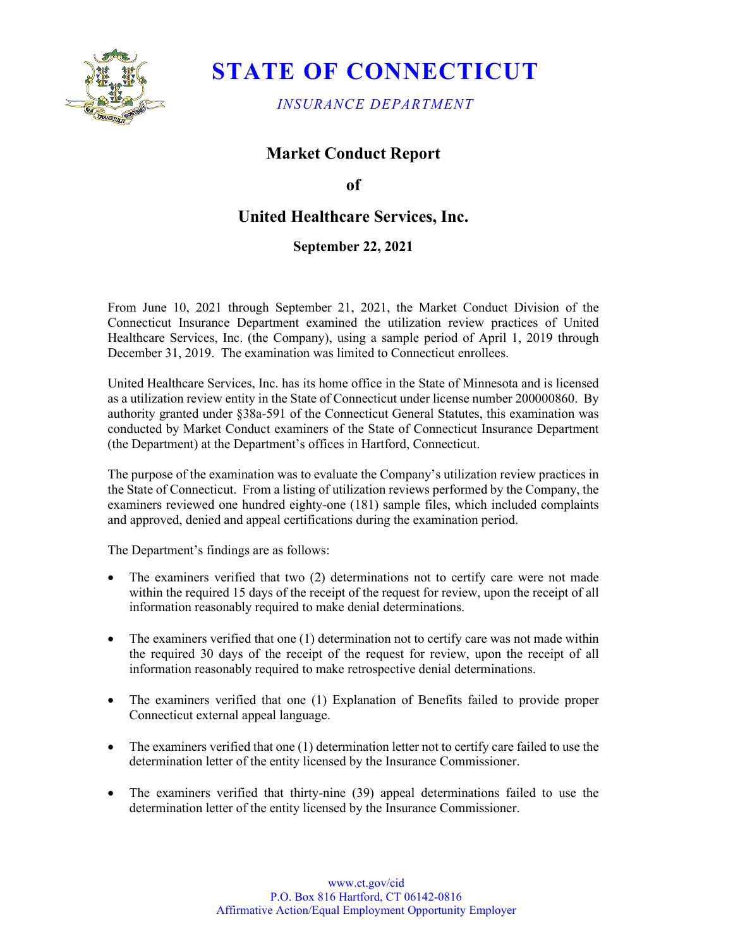

# **STATE OF CONNECTICUT**

*INSURANCE DEPARTMENT*

## **Market Conduct Report**

### **of**

# **United Healthcare Services, Inc.**

### **September 22, 2021**

From June 10, 2021 through September 21, 2021, the Market Conduct Division of the Connecticut Insurance Department examined the utilization review practices of United Healthcare Services, Inc. (the Company), using a sample period of April 1, 2019 through December 31, 2019. The examination was limited to Connecticut enrollees.

United Healthcare Services, Inc. has its home office in the State of Minnesota and is licensed as a utilization review entity in the State of Connecticut under license number 200000860. By authority granted under §38a-591 of the Connecticut General Statutes, this examination was conducted by Market Conduct examiners of the State of Connecticut Insurance Department (the Department) at the Department's offices in Hartford, Connecticut.

The purpose of the examination was to evaluate the Company's utilization review practices in the State of Connecticut. From a listing of utilization reviews performed by the Company, the examiners reviewed one hundred eighty-one (181) sample files, which included complaints and approved, denied and appeal certifications during the examination period.

The Department's findings are as follows:

- The examiners verified that two (2) determinations not to certify care were not made within the required 15 days of the receipt of the request for review, upon the receipt of all information reasonably required to make denial determinations.
- The examiners verified that one (1) determination not to certify care was not made within the required 30 days of the receipt of the request for review, upon the receipt of all information reasonably required to make retrospective denial determinations.
- The examiners verified that one (1) Explanation of Benefits failed to provide proper Connecticut external appeal language.
- The examiners verified that one (1) determination letter not to certify care failed to use the determination letter of the entity licensed by the Insurance Commissioner.
- The examiners verified that thirty-nine (39) appeal determinations failed to use the determination letter of the entity licensed by the Insurance Commissioner.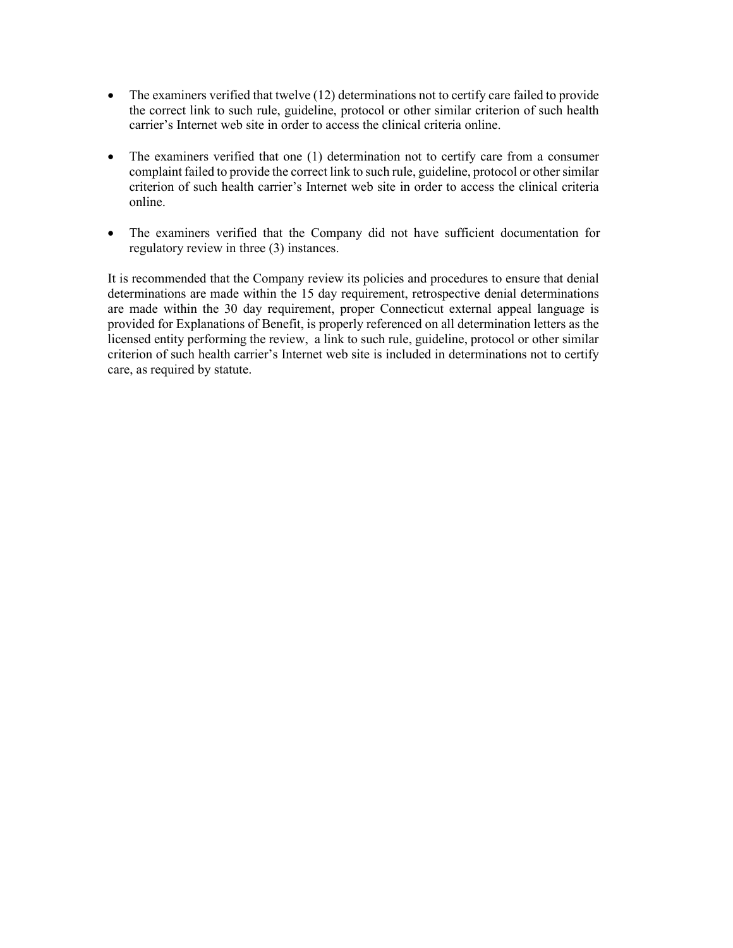- The examiners verified that twelve (12) determinations not to certify care failed to provide the correct link to such rule, guideline, protocol or other similar criterion of such health carrier's Internet web site in order to access the clinical criteria online.
- The examiners verified that one (1) determination not to certify care from a consumer complaint failed to provide the correct link to such rule, guideline, protocol or other similar criterion of such health carrier's Internet web site in order to access the clinical criteria online.
- The examiners verified that the Company did not have sufficient documentation for regulatory review in three (3) instances.

It is recommended that the Company review its policies and procedures to ensure that denial determinations are made within the 15 day requirement, retrospective denial determinations are made within the 30 day requirement, proper Connecticut external appeal language is provided for Explanations of Benefit, is properly referenced on all determination letters as the licensed entity performing the review, a link to such rule, guideline, protocol or other similar criterion of such health carrier's Internet web site is included in determinations not to certify care, as required by statute.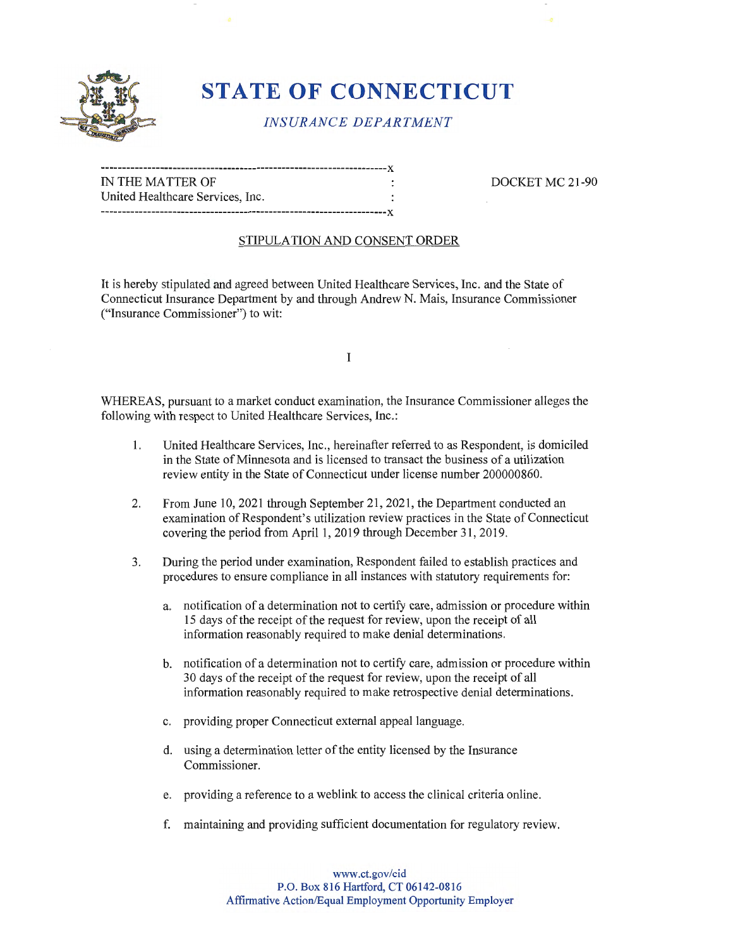

# **STATE OF CONNECTICUT**

## *INSURANCE DEPARTMENT*

| IN THE MATTER OF                 |  |
|----------------------------------|--|
|                                  |  |
| United Healthcare Services, Inc. |  |
|                                  |  |

DOCKET MC 21-90

#### STIPULATION AND CONSENT ORDER

It is hereby stipulated and agreed between United Healthcare Services, Inc. and the State of Connecticut Insurance Department by and through Andrew N. Mais, Insurance Commissioner ("Insurance Commissioner") to wit:

I

WHEREAS, pursuant to a market conduct examination, the Insurance Commissioner alleges the following with respect to United Healthcare Services, Inc.:

- 1. United Healthcare Services, Inc., hereinafter referred to as Respondent, is domiciled in the State of Minnesota and is licensed to transact the business of a utilization review entity in the State of Connecticut under license number 200000860.
- 2. From June 10, 2021 through September 21, 2021 , the Department conducted an examination of Respondent's utilization review practices in the State of Connecticut covering the period from April 1, 2019 through December 31 , 2019.
- 3. During the period under examination, Respondent failed to establish practices and procedures to ensure compliance in all instances with statutory requirements for:
	- a. notification of a determination not to certify care, admission or procedure within 15 days of the receipt of the request for review, upon the receipt of all information reasonably required to make denial determinations.
	- b. notification of a determination not to certify care, admission or procedure within 30 days of the receipt of the request for review, upon the receipt of all information reasonably required to make retrospective denial determinations.
	- c. providing proper Connecticut external appeal language.
	- d. using a determination letter of the entity licensed by the Insurance Commissioner.
	- e. providing a reference to a weblink to access the clinical criteria online.
	- f. maintaining and providing sufficient documentation for regulatory review.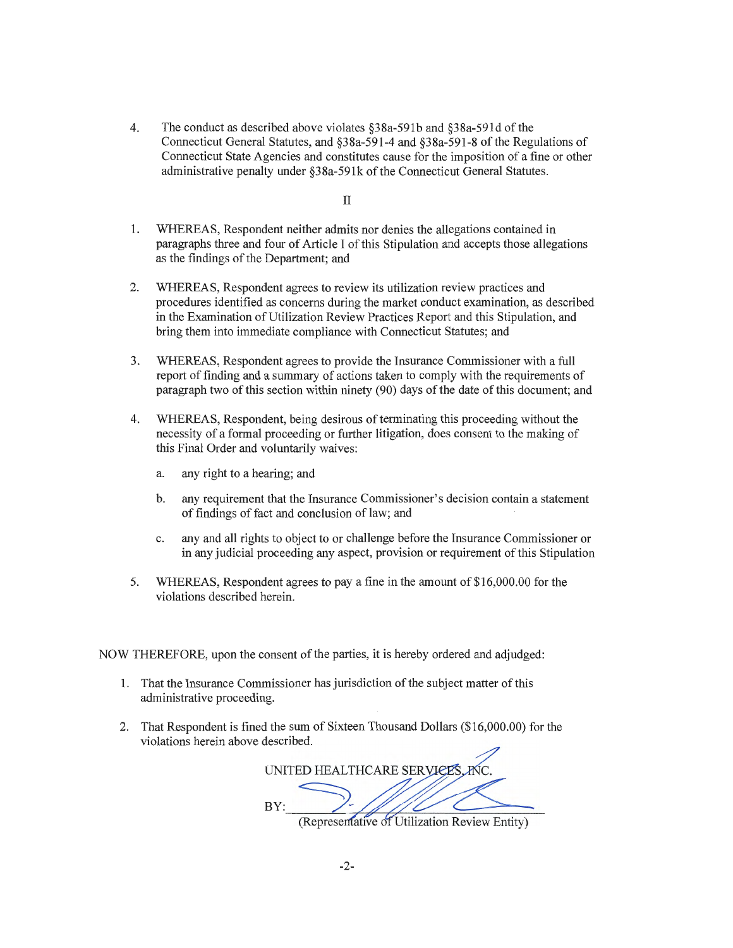4. The conduct as described above violates §38a-591b and §38a-591d of the Connecticut General Statutes, and §38a-591-4 and §38a-591-8 of the Regulations of Connecticut State Agencies and constitutes cause for the imposition of a fine or other administrative penalty under §38a-59lk of the Connecticut General Statutes.

II

- 1. WHEREAS, Respondent neither admits nor denies the allegations contained in paragraphs three and four of Article I of this Stipulation and accepts those allegations as the findings of the Department; and
- 2. WHEREAS, Respondent agrees to review its utilization review practices and procedures identified as concerns during the market conduct examination, as described in the Examination of Utilization Review Practices Report and this Stipulation, and bring them into immediate compliance with Connecticut Statutes; and
- 3. WHEREAS, Respondent agrees to provide the Insurance Commissioner with a full report of finding and a summary of actions taken to comply with the requirements of paragraph two of this section within ninety (90) days of the date of this document; and
- 4. WHEREAS, Respondent, being desirous of terminating this proceeding without the necessity of a formal proceeding or further litigation, does consent to the making of this Final Order and voluntarily waives:
	- a. any right to a hearing; and
	- b. any requirement that the Insurance Commissioner's decision contain a statement of findings of fact and conclusion of law; and
	- c. any and all rights to object to or challenge before the Insurance Commissioner or in any judicial proceeding any aspect, provision or requirement of this Stipulation
- 5. WHEREAS, Respondent agrees to pay a fine in the amount of\$16,000.00 for the violations described herein.

NOW THEREFORE, upon the consent of the parties, it is hereby ordered and adjudged:

- 1. That the Insurance Commissioner has jurisdiction of the subject matter of this administrative proceeding.
- 2. That Respondent is fined the sum of Sixteen Thousand Dollars (\$16,000.00) for the violations herein above described.

UNITED HEALTHCARE SERVICE BY: (Representative of Utilization Review Entity)